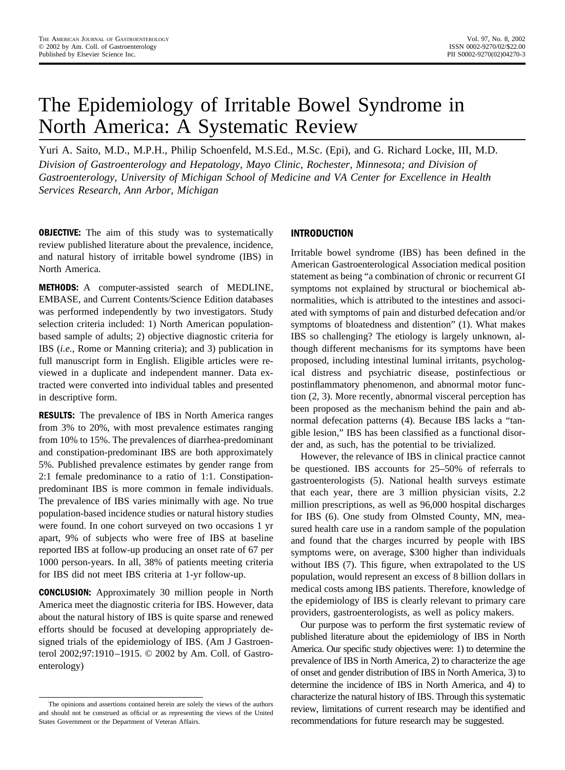# The Epidemiology of Irritable Bowel Syndrome in North America: A Systematic Review

Yuri A. Saito, M.D., M.P.H., Philip Schoenfeld, M.S.Ed., M.Sc. (Epi), and G. Richard Locke, III, M.D. *Division of Gastroenterology and Hepatology, Mayo Clinic, Rochester, Minnesota; and Division of Gastroenterology, University of Michigan School of Medicine and VA Center for Excellence in Health Services Research, Ann Arbor, Michigan*

**OBJECTIVE:** The aim of this study was to systematically review published literature about the prevalence, incidence, and natural history of irritable bowel syndrome (IBS) in North America.

**METHODS:** A computer-assisted search of MEDLINE, EMBASE, and Current Contents/Science Edition databases was performed independently by two investigators. Study selection criteria included: 1) North American populationbased sample of adults; 2) objective diagnostic criteria for IBS (*i.e.*, Rome or Manning criteria); and 3) publication in full manuscript form in English. Eligible articles were reviewed in a duplicate and independent manner. Data extracted were converted into individual tables and presented in descriptive form.

**RESULTS:** The prevalence of IBS in North America ranges from 3% to 20%, with most prevalence estimates ranging from 10% to 15%. The prevalences of diarrhea-predominant and constipation-predominant IBS are both approximately 5%. Published prevalence estimates by gender range from 2:1 female predominance to a ratio of 1:1. Constipationpredominant IBS is more common in female individuals. The prevalence of IBS varies minimally with age. No true population-based incidence studies or natural history studies were found. In one cohort surveyed on two occasions 1 yr apart, 9% of subjects who were free of IBS at baseline reported IBS at follow-up producing an onset rate of 67 per 1000 person-years. In all, 38% of patients meeting criteria for IBS did not meet IBS criteria at 1-yr follow-up.

**CONCLUSION:** Approximately 30 million people in North America meet the diagnostic criteria for IBS. However, data about the natural history of IBS is quite sparse and renewed efforts should be focused at developing appropriately designed trials of the epidemiology of IBS. (Am J Gastroenterol 2002;97:1910–1915. © 2002 by Am. Coll. of Gastroenterology)

# **INTRODUCTION**

Irritable bowel syndrome (IBS) has been defined in the American Gastroenterological Association medical position statement as being "a combination of chronic or recurrent GI symptoms not explained by structural or biochemical abnormalities, which is attributed to the intestines and associated with symptoms of pain and disturbed defecation and/or symptoms of bloatedness and distention" (1). What makes IBS so challenging? The etiology is largely unknown, although different mechanisms for its symptoms have been proposed, including intestinal luminal irritants, psychological distress and psychiatric disease, postinfectious or postinflammatory phenomenon, and abnormal motor function (2, 3). More recently, abnormal visceral perception has been proposed as the mechanism behind the pain and abnormal defecation patterns (4). Because IBS lacks a "tangible lesion," IBS has been classified as a functional disorder and, as such, has the potential to be trivialized.

However, the relevance of IBS in clinical practice cannot be questioned. IBS accounts for 25–50% of referrals to gastroenterologists (5). National health surveys estimate that each year, there are 3 million physician visits, 2.2 million prescriptions, as well as 96,000 hospital discharges for IBS (6). One study from Olmsted County, MN, measured health care use in a random sample of the population and found that the charges incurred by people with IBS symptoms were, on average, \$300 higher than individuals without IBS (7). This figure, when extrapolated to the US population, would represent an excess of 8 billion dollars in medical costs among IBS patients. Therefore, knowledge of the epidemiology of IBS is clearly relevant to primary care providers, gastroenterologists, as well as policy makers.

Our purpose was to perform the first systematic review of published literature about the epidemiology of IBS in North America. Our specific study objectives were: 1) to determine the prevalence of IBS in North America, 2) to characterize the age of onset and gender distribution of IBS in North America, 3) to determine the incidence of IBS in North America, and 4) to characterize the natural history of IBS. Through this systematic review, limitations of current research may be identified and recommendations for future research may be suggested.

The opinions and assertions contained herein are solely the views of the authors and should not be construed as official or as representing the views of the United States Government or the Department of Veteran Affairs.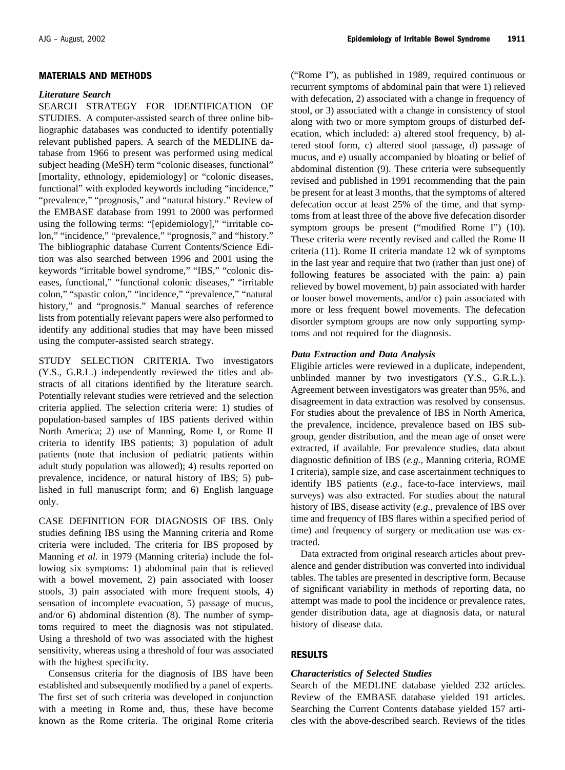## **MATERIALS AND METHODS**

#### *Literature Search*

SEARCH STRATEGY FOR IDENTIFICATION OF STUDIES. A computer-assisted search of three online bibliographic databases was conducted to identify potentially relevant published papers. A search of the MEDLINE database from 1966 to present was performed using medical subject heading (MeSH) term "colonic diseases, functional" [mortality, ethnology, epidemiology] or "colonic diseases, functional" with exploded keywords including "incidence," "prevalence," "prognosis," and "natural history." Review of the EMBASE database from 1991 to 2000 was performed using the following terms: "[epidemiology]," "irritable colon," "incidence," "prevalence," "prognosis," and "history." The bibliographic database Current Contents/Science Edition was also searched between 1996 and 2001 using the keywords "irritable bowel syndrome," "IBS," "colonic diseases, functional," "functional colonic diseases," "irritable colon," "spastic colon," "incidence," "prevalence," "natural history," and "prognosis." Manual searches of reference lists from potentially relevant papers were also performed to identify any additional studies that may have been missed using the computer-assisted search strategy.

STUDY SELECTION CRITERIA. Two investigators (Y.S., G.R.L.) independently reviewed the titles and abstracts of all citations identified by the literature search. Potentially relevant studies were retrieved and the selection criteria applied. The selection criteria were: 1) studies of population-based samples of IBS patients derived within North America; 2) use of Manning, Rome I, or Rome II criteria to identify IBS patients; 3) population of adult patients (note that inclusion of pediatric patients within adult study population was allowed); 4) results reported on prevalence, incidence, or natural history of IBS; 5) published in full manuscript form; and 6) English language only.

CASE DEFINITION FOR DIAGNOSIS OF IBS. Only studies defining IBS using the Manning criteria and Rome criteria were included. The criteria for IBS proposed by Manning *et al.* in 1979 (Manning criteria) include the following six symptoms: 1) abdominal pain that is relieved with a bowel movement, 2) pain associated with looser stools, 3) pain associated with more frequent stools, 4) sensation of incomplete evacuation, 5) passage of mucus, and/or 6) abdominal distention (8). The number of symptoms required to meet the diagnosis was not stipulated. Using a threshold of two was associated with the highest sensitivity, whereas using a threshold of four was associated with the highest specificity.

Consensus criteria for the diagnosis of IBS have been established and subsequently modified by a panel of experts. The first set of such criteria was developed in conjunction with a meeting in Rome and, thus, these have become known as the Rome criteria. The original Rome criteria ("Rome I"), as published in 1989, required continuous or recurrent symptoms of abdominal pain that were 1) relieved with defecation, 2) associated with a change in frequency of stool, or 3) associated with a change in consistency of stool along with two or more symptom groups of disturbed defecation, which included: a) altered stool frequency, b) altered stool form, c) altered stool passage, d) passage of mucus, and e) usually accompanied by bloating or belief of abdominal distention (9). These criteria were subsequently revised and published in 1991 recommending that the pain be present for at least 3 months, that the symptoms of altered defecation occur at least 25% of the time, and that symptoms from at least three of the above five defecation disorder symptom groups be present ("modified Rome I") (10). These criteria were recently revised and called the Rome II criteria (11). Rome II criteria mandate 12 wk of symptoms in the last year and require that two (rather than just one) of following features be associated with the pain: a) pain relieved by bowel movement, b) pain associated with harder or looser bowel movements, and/or c) pain associated with more or less frequent bowel movements. The defecation disorder symptom groups are now only supporting symptoms and not required for the diagnosis.

## *Data Extraction and Data Analysis*

Eligible articles were reviewed in a duplicate, independent, unblinded manner by two investigators (Y.S., G.R.L.). Agreement between investigators was greater than 95%, and disagreement in data extraction was resolved by consensus. For studies about the prevalence of IBS in North America, the prevalence, incidence, prevalence based on IBS subgroup, gender distribution, and the mean age of onset were extracted, if available. For prevalence studies, data about diagnostic definition of IBS (*e.g.,* Manning criteria, ROME I criteria), sample size, and case ascertainment techniques to identify IBS patients (*e.g.,* face-to-face interviews, mail surveys) was also extracted. For studies about the natural history of IBS, disease activity (*e.g.,* prevalence of IBS over time and frequency of IBS flares within a specified period of time) and frequency of surgery or medication use was extracted.

Data extracted from original research articles about prevalence and gender distribution was converted into individual tables. The tables are presented in descriptive form. Because of significant variability in methods of reporting data, no attempt was made to pool the incidence or prevalence rates, gender distribution data, age at diagnosis data, or natural history of disease data.

## **RESULTS**

## *Characteristics of Selected Studies*

Search of the MEDLINE database yielded 232 articles. Review of the EMBASE database yielded 191 articles. Searching the Current Contents database yielded 157 articles with the above-described search. Reviews of the titles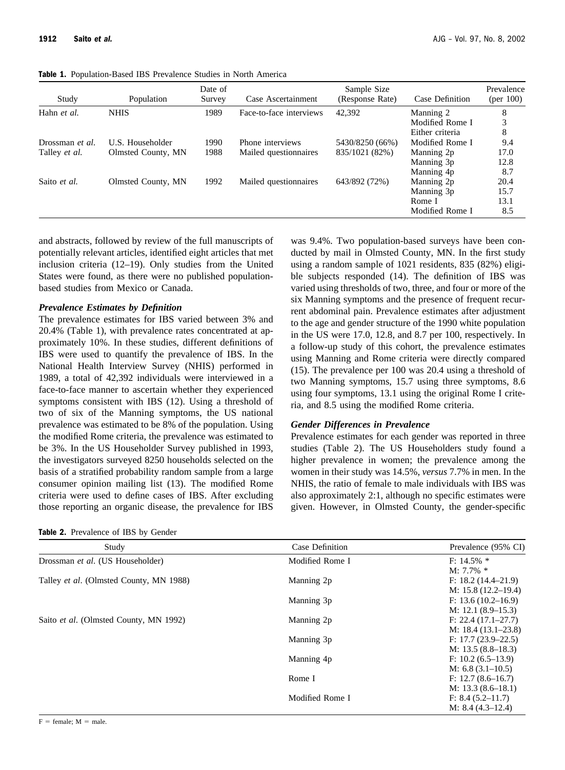**Table 1.** Population-Based IBS Prevalence Studies in North America

| Study                | Population         | Date of<br>Survey | Case Ascertainment      | Sample Size<br>(Response Rate) | Case Definition | Prevalence<br>${\rm (per\ 100)}$ |
|----------------------|--------------------|-------------------|-------------------------|--------------------------------|-----------------|----------------------------------|
| Hahn et al.          | <b>NHIS</b>        | 1989              | Face-to-face interviews | 42,392                         | Manning 2       | 8                                |
|                      |                    |                   |                         |                                | Modified Rome I | 3                                |
|                      |                    |                   |                         |                                | Either criteria | 8                                |
| Drossman et al.      | U.S. Householder   | 1990              | Phone interviews        | 5430/8250 (66%)                | Modified Rome I | 9.4                              |
| Talley <i>et al.</i> | Olmsted County, MN | 1988              | Mailed questionnaires   | 835/1021 (82%)                 | Manning 2p      | 17.0                             |
|                      |                    |                   |                         |                                | Manning 3p      | 12.8                             |
|                      |                    |                   |                         |                                | Manning 4p      | 8.7                              |
| Saito et al.         | Olmsted County, MN | 1992              | Mailed questionnaires   | 643/892 (72%)                  | Manning 2p      | 20.4                             |
|                      |                    |                   |                         |                                | Manning 3p      | 15.7                             |
|                      |                    |                   |                         |                                | Rome I          | 13.1                             |
|                      |                    |                   |                         |                                | Modified Rome I | 8.5                              |

and abstracts, followed by review of the full manuscripts of potentially relevant articles, identified eight articles that met inclusion criteria (12–19). Only studies from the United States were found, as there were no published populationbased studies from Mexico or Canada.

# *Prevalence Estimates by Definition*

The prevalence estimates for IBS varied between 3% and 20.4% (Table 1), with prevalence rates concentrated at approximately 10%. In these studies, different definitions of IBS were used to quantify the prevalence of IBS. In the National Health Interview Survey (NHIS) performed in 1989, a total of 42,392 individuals were interviewed in a face-to-face manner to ascertain whether they experienced symptoms consistent with IBS (12). Using a threshold of two of six of the Manning symptoms, the US national prevalence was estimated to be 8% of the population. Using the modified Rome criteria, the prevalence was estimated to be 3%. In the US Householder Survey published in 1993, the investigators surveyed 8250 households selected on the basis of a stratified probability random sample from a large consumer opinion mailing list (13). The modified Rome criteria were used to define cases of IBS. After excluding those reporting an organic disease, the prevalence for IBS

**Table 2.** Prevalence of IBS by Gender

was 9.4%. Two population-based surveys have been conducted by mail in Olmsted County, MN. In the first study using a random sample of 1021 residents, 835 (82%) eligible subjects responded (14). The definition of IBS was varied using thresholds of two, three, and four or more of the six Manning symptoms and the presence of frequent recurrent abdominal pain. Prevalence estimates after adjustment to the age and gender structure of the 1990 white population in the US were 17.0, 12.8, and 8.7 per 100, respectively. In a follow-up study of this cohort, the prevalence estimates using Manning and Rome criteria were directly compared (15). The prevalence per 100 was 20.4 using a threshold of two Manning symptoms, 15.7 using three symptoms, 8.6 using four symptoms, 13.1 using the original Rome I criteria, and 8.5 using the modified Rome criteria.

## *Gender Differences in Prevalence*

Prevalence estimates for each gender was reported in three studies (Table 2). The US Householders study found a higher prevalence in women; the prevalence among the women in their study was 14.5%, *versus* 7.7% in men. In the NHIS, the ratio of female to male individuals with IBS was also approximately 2:1, although no specific estimates were given. However, in Olmsted County, the gender-specific

| Study                                   | Case Definition | Prevalence (95% CI)     |  |
|-----------------------------------------|-----------------|-------------------------|--|
| Drossman et al. (US Householder)        | Modified Rome I | $F: 14.5\%$ *           |  |
|                                         |                 | $M: 7.7\%$ *            |  |
| Talley et al. (Olmsted County, MN 1988) | Manning 2p      | $F: 18.2 (14.4 - 21.9)$ |  |
|                                         |                 | M: $15.8(12.2-19.4)$    |  |
|                                         | Manning 3p      | F: $13.6(10.2-16.9)$    |  |
|                                         |                 | M: $12.1(8.9-15.3)$     |  |
| Saito et al. (Olmsted County, MN 1992)  | Manning 2p      | $F: 22.4(17.1-27.7)$    |  |
|                                         |                 | M: $18.4(13.1-23.8)$    |  |
|                                         | Manning 3p      | $F: 17.7 (23.9 - 22.5)$ |  |
|                                         |                 | M: $13.5(8.8-18.3)$     |  |
|                                         | Manning 4p      | F: 10.2 (6.5–13.9)      |  |
|                                         |                 | M: $6.8(3.1-10.5)$      |  |
|                                         | Rome I          | F: 12.7 (8.6–16.7)      |  |
|                                         |                 | M: $13.3(8.6-18.1)$     |  |
|                                         | Modified Rome I | F: 8.4 (5.2–11.7)       |  |
|                                         |                 | M: $8.4(4.3-12.4)$      |  |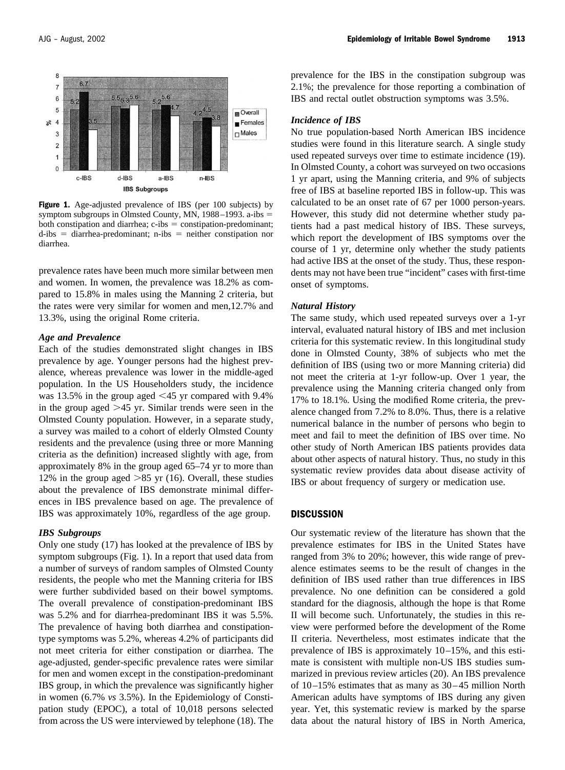

**Figure 1.** Age-adjusted prevalence of IBS (per 100 subjects) by symptom subgroups in Olmsted County, MN, 1988–1993. a-ibs both constipation and diarrhea;  $c$ -ibs  $=$  constipation-predominant;  $d - ibs = diarhea-predominant; n - ibs = neither constitution nor$ diarrhea.

prevalence rates have been much more similar between men and women. In women, the prevalence was 18.2% as compared to 15.8% in males using the Manning 2 criteria, but the rates were very similar for women and men,12.7% and 13.3%, using the original Rome criteria.

#### *Age and Prevalence*

Each of the studies demonstrated slight changes in IBS prevalence by age. Younger persons had the highest prevalence, whereas prevalence was lower in the middle-aged population. In the US Householders study, the incidence was 13.5% in the group aged  $\leq$  45 yr compared with 9.4% in the group aged  $>45$  yr. Similar trends were seen in the Olmsted County population. However, in a separate study, a survey was mailed to a cohort of elderly Olmsted County residents and the prevalence (using three or more Manning criteria as the definition) increased slightly with age, from approximately 8% in the group aged 65–74 yr to more than 12% in the group aged  $>85$  yr (16). Overall, these studies about the prevalence of IBS demonstrate minimal differences in IBS prevalence based on age. The prevalence of IBS was approximately 10%, regardless of the age group.

## *IBS Subgroups*

Only one study (17) has looked at the prevalence of IBS by symptom subgroups (Fig. 1). In a report that used data from a number of surveys of random samples of Olmsted County residents, the people who met the Manning criteria for IBS were further subdivided based on their bowel symptoms. The overall prevalence of constipation-predominant IBS was 5.2% and for diarrhea-predominant IBS it was 5.5%. The prevalence of having both diarrhea and constipationtype symptoms was 5.2%, whereas 4.2% of participants did not meet criteria for either constipation or diarrhea. The age-adjusted, gender-specific prevalence rates were similar for men and women except in the constipation-predominant IBS group, in which the prevalence was significantly higher in women (6.7% *vs* 3.5%). In the Epidemiology of Constipation study (EPOC), a total of 10,018 persons selected from across the US were interviewed by telephone (18). The prevalence for the IBS in the constipation subgroup was 2.1%; the prevalence for those reporting a combination of IBS and rectal outlet obstruction symptoms was 3.5%.

#### *Incidence of IBS*

No true population-based North American IBS incidence studies were found in this literature search. A single study used repeated surveys over time to estimate incidence (19). In Olmsted County, a cohort was surveyed on two occasions 1 yr apart, using the Manning criteria, and 9% of subjects free of IBS at baseline reported IBS in follow-up. This was calculated to be an onset rate of 67 per 1000 person-years. However, this study did not determine whether study patients had a past medical history of IBS. These surveys, which report the development of IBS symptoms over the course of 1 yr, determine only whether the study patients had active IBS at the onset of the study. Thus, these respondents may not have been true "incident" cases with first-time onset of symptoms.

#### *Natural History*

The same study, which used repeated surveys over a 1-yr interval, evaluated natural history of IBS and met inclusion criteria for this systematic review. In this longitudinal study done in Olmsted County, 38% of subjects who met the definition of IBS (using two or more Manning criteria) did not meet the criteria at 1-yr follow-up. Over 1 year, the prevalence using the Manning criteria changed only from 17% to 18.1%. Using the modified Rome criteria, the prevalence changed from 7.2% to 8.0%. Thus, there is a relative numerical balance in the number of persons who begin to meet and fail to meet the definition of IBS over time. No other study of North American IBS patients provides data about other aspects of natural history. Thus, no study in this systematic review provides data about disease activity of IBS or about frequency of surgery or medication use.

## **DISCUSSION**

Our systematic review of the literature has shown that the prevalence estimates for IBS in the United States have ranged from 3% to 20%; however, this wide range of prevalence estimates seems to be the result of changes in the definition of IBS used rather than true differences in IBS prevalence. No one definition can be considered a gold standard for the diagnosis, although the hope is that Rome II will become such. Unfortunately, the studies in this review were performed before the development of the Rome II criteria. Nevertheless, most estimates indicate that the prevalence of IBS is approximately 10–15%, and this estimate is consistent with multiple non-US IBS studies summarized in previous review articles (20). An IBS prevalence of 10–15% estimates that as many as 30–45 million North American adults have symptoms of IBS during any given year. Yet, this systematic review is marked by the sparse data about the natural history of IBS in North America,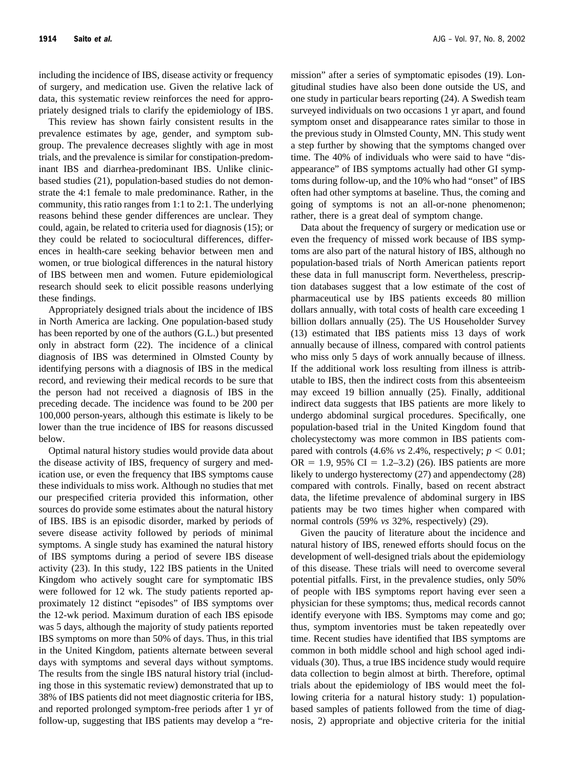including the incidence of IBS, disease activity or frequency of surgery, and medication use. Given the relative lack of data, this systematic review reinforces the need for appropriately designed trials to clarify the epidemiology of IBS.

This review has shown fairly consistent results in the prevalence estimates by age, gender, and symptom subgroup. The prevalence decreases slightly with age in most trials, and the prevalence is similar for constipation-predominant IBS and diarrhea-predominant IBS. Unlike clinicbased studies (21), population-based studies do not demonstrate the 4:1 female to male predominance. Rather, in the community, this ratio ranges from 1:1 to 2:1. The underlying reasons behind these gender differences are unclear. They could, again, be related to criteria used for diagnosis (15); or they could be related to sociocultural differences, differences in health-care seeking behavior between men and women, or true biological differences in the natural history of IBS between men and women. Future epidemiological research should seek to elicit possible reasons underlying these findings.

Appropriately designed trials about the incidence of IBS in North America are lacking. One population-based study has been reported by one of the authors (G.L.) but presented only in abstract form (22). The incidence of a clinical diagnosis of IBS was determined in Olmsted County by identifying persons with a diagnosis of IBS in the medical record, and reviewing their medical records to be sure that the person had not received a diagnosis of IBS in the preceding decade. The incidence was found to be 200 per 100,000 person-years, although this estimate is likely to be lower than the true incidence of IBS for reasons discussed below.

Optimal natural history studies would provide data about the disease activity of IBS, frequency of surgery and medication use, or even the frequency that IBS symptoms cause these individuals to miss work. Although no studies that met our prespecified criteria provided this information, other sources do provide some estimates about the natural history of IBS. IBS is an episodic disorder, marked by periods of severe disease activity followed by periods of minimal symptoms. A single study has examined the natural history of IBS symptoms during a period of severe IBS disease activity (23). In this study, 122 IBS patients in the United Kingdom who actively sought care for symptomatic IBS were followed for 12 wk. The study patients reported approximately 12 distinct "episodes" of IBS symptoms over the 12-wk period. Maximum duration of each IBS episode was 5 days, although the majority of study patients reported IBS symptoms on more than 50% of days. Thus, in this trial in the United Kingdom, patients alternate between several days with symptoms and several days without symptoms. The results from the single IBS natural history trial (including those in this systematic review) demonstrated that up to 38% of IBS patients did not meet diagnostic criteria for IBS, and reported prolonged symptom-free periods after 1 yr of follow-up, suggesting that IBS patients may develop a "remission" after a series of symptomatic episodes (19). Longitudinal studies have also been done outside the US, and one study in particular bears reporting (24). A Swedish team surveyed individuals on two occasions 1 yr apart, and found symptom onset and disappearance rates similar to those in the previous study in Olmsted County, MN. This study went a step further by showing that the symptoms changed over time. The 40% of individuals who were said to have "disappearance" of IBS symptoms actually had other GI symptoms during follow-up, and the 10% who had "onset" of IBS often had other symptoms at baseline. Thus, the coming and going of symptoms is not an all-or-none phenomenon; rather, there is a great deal of symptom change.

Data about the frequency of surgery or medication use or even the frequency of missed work because of IBS symptoms are also part of the natural history of IBS, although no population-based trials of North American patients report these data in full manuscript form. Nevertheless, prescription databases suggest that a low estimate of the cost of pharmaceutical use by IBS patients exceeds 80 million dollars annually, with total costs of health care exceeding 1 billion dollars annually (25). The US Householder Survey (13) estimated that IBS patients miss 13 days of work annually because of illness, compared with control patients who miss only 5 days of work annually because of illness. If the additional work loss resulting from illness is attributable to IBS, then the indirect costs from this absenteeism may exceed 19 billion annually (25). Finally, additional indirect data suggests that IBS patients are more likely to undergo abdominal surgical procedures. Specifically, one population-based trial in the United Kingdom found that cholecystectomy was more common in IBS patients compared with controls  $(4.6\% \text{ vs } 2.4\%$ , respectively;  $p < 0.01$ ; OR = 1.9, 95% CI = 1.2–3.2) (26). IBS patients are more likely to undergo hysterectomy (27) and appendectomy (28) compared with controls. Finally, based on recent abstract data, the lifetime prevalence of abdominal surgery in IBS patients may be two times higher when compared with normal controls (59% *vs* 32%, respectively) (29).

Given the paucity of literature about the incidence and natural history of IBS, renewed efforts should focus on the development of well-designed trials about the epidemiology of this disease. These trials will need to overcome several potential pitfalls. First, in the prevalence studies, only 50% of people with IBS symptoms report having ever seen a physician for these symptoms; thus, medical records cannot identify everyone with IBS. Symptoms may come and go; thus, symptom inventories must be taken repeatedly over time. Recent studies have identified that IBS symptoms are common in both middle school and high school aged individuals (30). Thus, a true IBS incidence study would require data collection to begin almost at birth. Therefore, optimal trials about the epidemiology of IBS would meet the following criteria for a natural history study: 1) populationbased samples of patients followed from the time of diagnosis, 2) appropriate and objective criteria for the initial